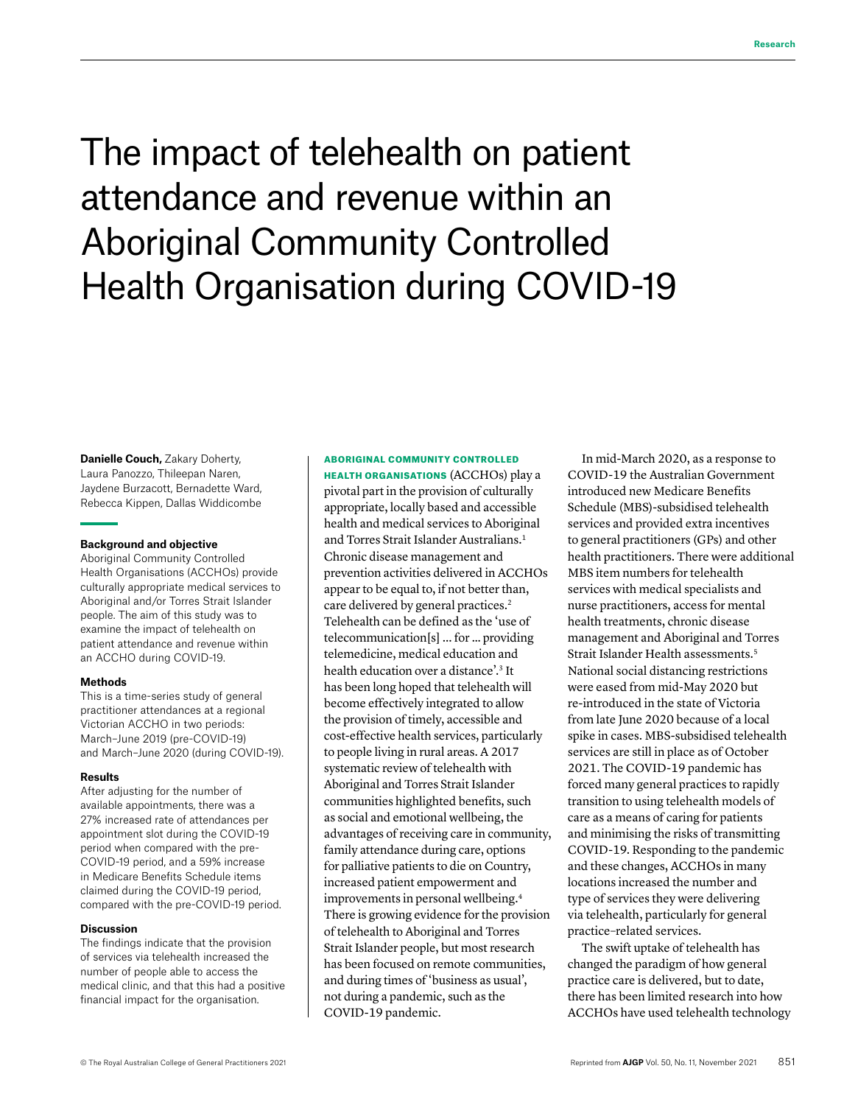# The impact of telehealth on patient attendance and revenue within an Aboriginal Community Controlled Health Organisation during COVID-19

**Danielle Couch, Zakary Doherty,** Laura Panozzo, Thileepan Naren, Jaydene Burzacott, Bernadette Ward, Rebecca Kippen, Dallas Widdicombe

#### **Background and objective**

Aboriginal Community Controlled Health Organisations (ACCHOs) provide culturally appropriate medical services to Aboriginal and/or Torres Strait Islander people. The aim of this study was to examine the impact of telehealth on patient attendance and revenue within an ACCHO during COVID-19.

#### **Methods**

This is a time-series study of general practitioner attendances at a regional Victorian ACCHO in two periods: March–June 2019 (pre-COVID-19) and March–June 2020 (during COVID-19).

#### **Results**

After adjusting for the number of available appointments, there was a 27% increased rate of attendances per appointment slot during the COVID-19 period when compared with the pre-COVID-19 period, and a 59% increase in Medicare Benefits Schedule items claimed during the COVID-19 period, compared with the pre-COVID-19 period.

#### **Discussion**

The findings indicate that the provision of services via telehealth increased the number of people able to access the medical clinic, and that this had a positive financial impact for the organisation.

ABORIGINAL COMMUNITY CONTROLLED HEALTH ORGANISATIONS (ACCHOs) play a pivotal part in the provision of culturally appropriate, locally based and accessible health and medical services to Aboriginal and Torres Strait Islander Australians.<sup>1</sup> Chronic disease management and prevention activities delivered in ACCHOs appear to be equal to, if not better than, care delivered by general practices.<sup>2</sup> Telehealth can be defined as the 'use of telecommunication[s] ... for … providing telemedicine, medical education and health education over a distance'.3 It has been long hoped that telehealth will become effectively integrated to allow the provision of timely, accessible and cost-effective health services, particularly to people living in rural areas. A 2017 systematic review of telehealth with Aboriginal and Torres Strait Islander communities highlighted benefits, such as social and emotional wellbeing, the advantages of receiving care in community, family attendance during care, options for palliative patients to die on Country, increased patient empowerment and improvements in personal wellbeing.4 There is growing evidence for the provision of telehealth to Aboriginal and Torres Strait Islander people, but most research has been focused on remote communities, and during times of 'business as usual', not during a pandemic, such as the COVID-19 pandemic.

In mid-March 2020, as a response to COVID-19 the Australian Government introduced new Medicare Benefits Schedule (MBS)-subsidised telehealth services and provided extra incentives to general practitioners (GPs) and other health practitioners. There were additional MBS item numbers for telehealth services with medical specialists and nurse practitioners, access for mental health treatments, chronic disease management and Aboriginal and Torres Strait Islander Health assessments.<sup>5</sup> National social distancing restrictions were eased from mid-May 2020 but re-introduced in the state of Victoria from late June 2020 because of a local spike in cases. MBS-subsidised telehealth services are still in place as of October 2021. The COVID-19 pandemic has forced many general practices to rapidly transition to using telehealth models of care as a means of caring for patients and minimising the risks of transmitting COVID-19. Responding to the pandemic and these changes, ACCHOs in many locations increased the number and type of services they were delivering via telehealth, particularly for general practice–related services.

The swift uptake of telehealth has changed the paradigm of how general practice care is delivered, but to date, there has been limited research into how ACCHOs have used telehealth technology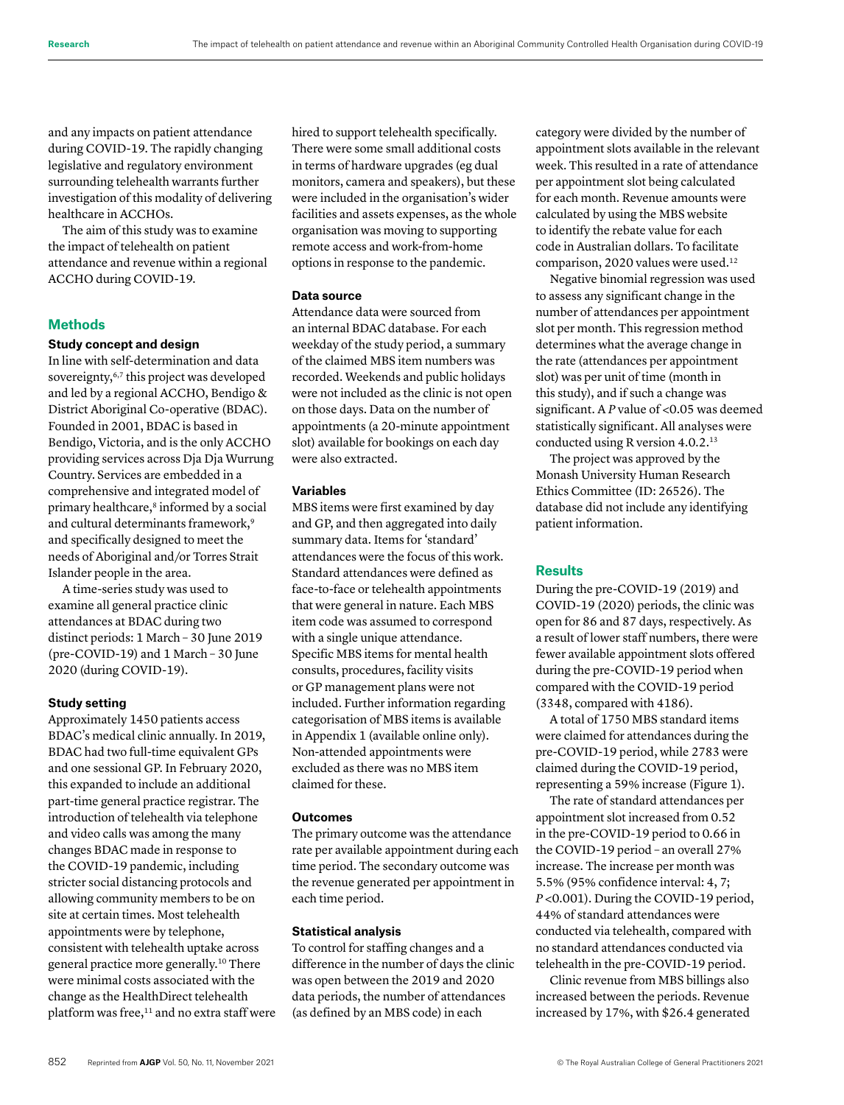and any impacts on patient attendance during COVID-19. The rapidly changing legislative and regulatory environment surrounding telehealth warrants further investigation of this modality of delivering healthcare in ACCHOs.

The aim of this study was to examine the impact of telehealth on patient attendance and revenue within a regional ACCHO during COVID-19.

# **Methods**

# **Study concept and design**

In line with self-determination and data sovereignty,<sup>6,7</sup> this project was developed and led by a regional ACCHO, Bendigo & District Aboriginal Co-operative (BDAC). Founded in 2001, BDAC is based in Bendigo, Victoria, and is the only ACCHO providing services across Dja Dja Wurrung Country. Services are embedded in a comprehensive and integrated model of primary healthcare,<sup>8</sup> informed by a social and cultural determinants framework,<sup>9</sup> and specifically designed to meet the needs of Aboriginal and/or Torres Strait Islander people in the area.

A time-series study was used to examine all general practice clinic attendances at BDAC during two distinct periods: 1 March – 30 June 2019 (pre-COVID-19) and 1 March – 30 June 2020 (during COVID-19).

# **Study setting**

Approximately 1450 patients access BDAC's medical clinic annually. In 2019, BDAC had two full-time equivalent GPs and one sessional GP. In February 2020, this expanded to include an additional part-time general practice registrar. The introduction of telehealth via telephone and video calls was among the many changes BDAC made in response to the COVID-19 pandemic, including stricter social distancing protocols and allowing community members to be on site at certain times. Most telehealth appointments were by telephone, consistent with telehealth uptake across general practice more generally.10 There were minimal costs associated with the change as the HealthDirect telehealth platform was free, $11$  and no extra staff were hired to support telehealth specifically. There were some small additional costs in terms of hardware upgrades (eg dual monitors, camera and speakers), but these were included in the organisation's wider facilities and assets expenses, as the whole organisation was moving to supporting remote access and work-from-home options in response to the pandemic.

# **Data source**

Attendance data were sourced from an internal BDAC database. For each weekday of the study period, a summary of the claimed MBS item numbers was recorded. Weekends and public holidays were not included as the clinic is not open on those days. Data on the number of appointments (a 20-minute appointment slot) available for bookings on each day were also extracted.

# **Variables**

MBS items were first examined by day and GP, and then aggregated into daily summary data. Items for 'standard' attendances were the focus of this work. Standard attendances were defined as face-to-face or telehealth appointments that were general in nature. Each MBS item code was assumed to correspond with a single unique attendance. Specific MBS items for mental health consults, procedures, facility visits or GP management plans were not included. Further information regarding categorisation of MBS items is available in Appendix 1 (available online only). Non-attended appointments were excluded as there was no MBS item claimed for these.

#### **Outcomes**

The primary outcome was the attendance rate per available appointment during each time period. The secondary outcome was the revenue generated per appointment in each time period.

# **Statistical analysis**

To control for staffing changes and a difference in the number of days the clinic was open between the 2019 and 2020 data periods, the number of attendances (as defined by an MBS code) in each

category were divided by the number of appointment slots available in the relevant week. This resulted in a rate of attendance per appointment slot being calculated for each month. Revenue amounts were calculated by using the MBS website to identify the rebate value for each code in Australian dollars. To facilitate comparison, 2020 values were used.12

Negative binomial regression was used to assess any significant change in the number of attendances per appointment slot per month. This regression method determines what the average change in the rate (attendances per appointment slot) was per unit of time (month in this study), and if such a change was significant. A P value of <0.05 was deemed statistically significant. All analyses were conducted using R version 4.0.2.13

The project was approved by the Monash University Human Research Ethics Committee (ID: 26526). The database did not include any identifying patient information.

### **Results**

During the pre-COVID-19 (2019) and COVID-19 (2020) periods, the clinic was open for 86 and 87 days, respectively. As a result of lower staff numbers, there were fewer available appointment slots offered during the pre-COVID-19 period when compared with the COVID-19 period (3348, compared with 4186).

A total of 1750 MBS standard items were claimed for attendances during the pre-COVID-19 period, while 2783 were claimed during the COVID-19 period, representing a 59% increase (Figure 1).

The rate of standard attendances per appointment slot increased from 0.52 in the pre-COVID-19 period to 0.66 in the COVID-19 period – an overall 27% increase. The increase per month was 5.5% (95% confidence interval: 4, 7; *P* <0.001). During the COVID-19 period, 44% of standard attendances were conducted via telehealth, compared with no standard attendances conducted via telehealth in the pre-COVID-19 period.

Clinic revenue from MBS billings also increased between the periods. Revenue increased by 17%, with \$26.4 generated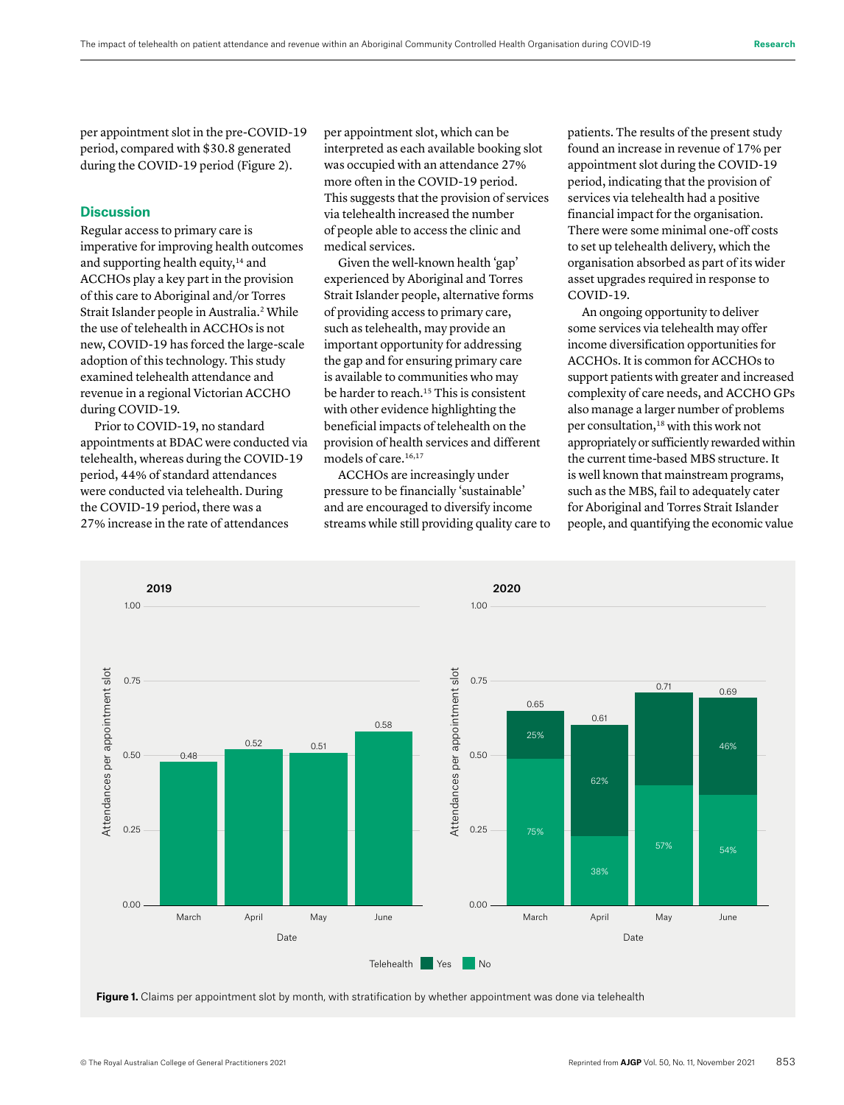per appointment slot in the pre-COVID-19 period, compared with \$30.8 generated during the COVID-19 period (Figure 2).

# **Discussion**

Regular access to primary care is imperative for improving health outcomes and supporting health equity, $14$  and ACCHOs play a key part in the provision of this care to Aboriginal and/or Torres Strait Islander people in Australia.<sup>2</sup> While the use of telehealth in ACCHOs is not new, COVID-19 has forced the large-scale adoption of this technology. This study examined telehealth attendance and revenue in a regional Victorian ACCHO during COVID-19.

Prior to COVID-19, no standard appointments at BDAC were conducted via telehealth, whereas during the COVID-19 period, 44% of standard attendances were conducted via telehealth. During the COVID-19 period, there was a 27% increase in the rate of attendances

per appointment slot, which can be interpreted as each available booking slot was occupied with an attendance 27% more often in the COVID-19 period. This suggests that the provision of services via telehealth increased the number of people able to access the clinic and medical services.

Given the well-known health 'gap' experienced by Aboriginal and Torres Strait Islander people, alternative forms of providing access to primary care, such as telehealth, may provide an important opportunity for addressing the gap and for ensuring primary care is available to communities who may be harder to reach.<sup>15</sup> This is consistent with other evidence highlighting the beneficial impacts of telehealth on the provision of health services and different models of care.<sup>16,17</sup>

ACCHOs are increasingly under pressure to be financially 'sustainable' and are encouraged to diversify income streams while still providing quality care to patients. The results of the present study found an increase in revenue of 17% per appointment slot during the COVID-19 period, indicating that the provision of services via telehealth had a positive financial impact for the organisation. There were some minimal one-off costs to set up telehealth delivery, which the organisation absorbed as part of its wider asset upgrades required in response to COVID-19.

An ongoing opportunity to deliver some services via telehealth may offer income diversification opportunities for ACCHOs. It is common for ACCHOs to support patients with greater and increased complexity of care needs, and ACCHO GPs also manage a larger number of problems per consultation,<sup>18</sup> with this work not appropriately or sufficiently rewarded within the current time-based MBS structure. It is well known that mainstream programs, such as the MBS, fail to adequately cater for Aboriginal and Torres Strait Islander people, and quantifying the economic value



**Figure 1.** Claims per appointment slot by month, with stratification by whether appointment was done via telehealth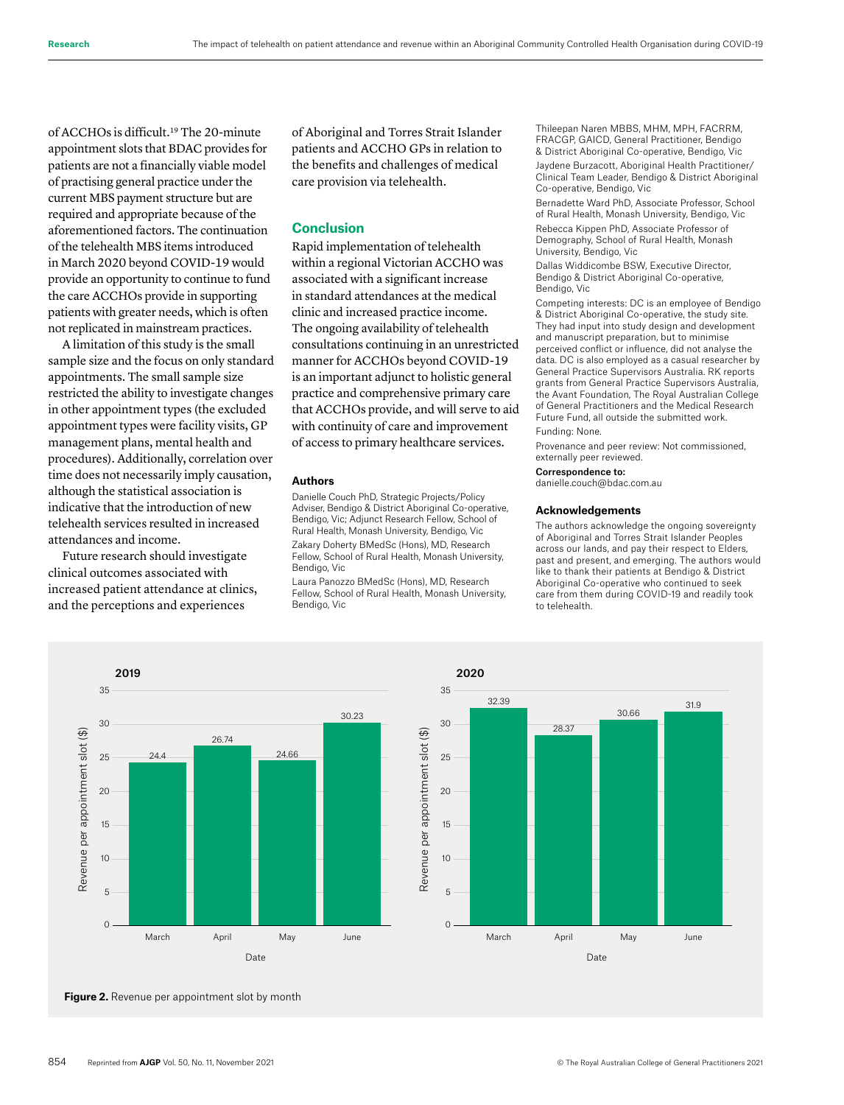of ACCHOs is difficult.19 The 20-minute appointment slots that BDAC provides for patients are not a financially viable model of practising general practice under the current MBS payment structure but are required and appropriate because of the aforementioned factors. The continuation of the telehealth MBS items introduced in March 2020 beyond COVID-19 would provide an opportunity to continue to fund the care ACCHOs provide in supporting patients with greater needs, which is often not replicated in mainstream practices.

A limitation of this study is the small sample size and the focus on only standard appointments. The small sample size restricted the ability to investigate changes in other appointment types (the excluded appointment types were facility visits, GP management plans, mental health and procedures). Additionally, correlation over time does not necessarily imply causation, although the statistical association is indicative that the introduction of new telehealth services resulted in increased attendances and income.

Future research should investigate clinical outcomes associated with increased patient attendance at clinics, and the perceptions and experiences

of Aboriginal and Torres Strait Islander patients and ACCHO GPs in relation to the benefits and challenges of medical care provision via telehealth.

# **Conclusion**

Rapid implementation of telehealth within a regional Victorian ACCHO was associated with a significant increase in standard attendances at the medical clinic and increased practice income. The ongoing availability of telehealth consultations continuing in an unrestricted manner for ACCHOs beyond COVID-19 is an important adjunct to holistic general practice and comprehensive primary care that ACCHOs provide, and will serve to aid with continuity of care and improvement of access to primary healthcare services.

#### **Authors**

Danielle Couch PhD, Strategic Projects/Policy Adviser, Bendigo & District Aboriginal Co-operative, Bendigo, Vic; Adjunct Research Fellow, School of Rural Health, Monash University, Bendigo, Vic Zakary Doherty BMedSc (Hons), MD, Research Fellow, School of Rural Health, Monash University, Bendigo, Vic

Laura Panozzo BMedSc (Hons), MD, Research Fellow, School of Rural Health, Monash University, Bendigo, Vic

Thileepan Naren MBBS, MHM, MPH, FACRRM, FRACGP, GAICD, General Practitioner, Bendigo & District Aboriginal Co-operative, Bendigo, Vic Jaydene Burzacott, Aboriginal Health Practitioner/ Clinical Team Leader, Bendigo & District Aboriginal Co-operative, Bendigo, Vic

Bernadette Ward PhD, Associate Professor, School of Rural Health, Monash University, Bendigo, Vic Rebecca Kippen PhD, Associate Professor of

Demography, School of Rural Health, Monash University, Bendigo, Vic

Dallas Widdicombe BSW, Executive Director, Bendigo & District Aboriginal Co-operative, Bendigo, Vic

Competing interests: DC is an employee of Bendigo & District Aboriginal Co-operative, the study site. They had input into study design and development and manuscript preparation, but to minimise perceived conflict or influence, did not analyse the data. DC is also employed as a casual researcher by General Practice Supervisors Australia. RK reports grants from General Practice Supervisors Australia, the Avant Foundation, The Royal Australian College of General Practitioners and the Medical Research Future Fund, all outside the submitted work.

#### Funding: None.

Provenance and peer review: Not commissioned, externally peer reviewed.

#### Correspondence to:

danielle.couch@bdac.com.au

#### **Acknowledgements**

The authors acknowledge the ongoing sovereignty of Aboriginal and Torres Strait Islander Peoples across our lands, and pay their respect to Elders, past and present, and emerging. The authors would like to thank their patients at Bendigo & District Aboriginal Co-operative who continued to seek care from them during COVID-19 and readily took to telehealth.



**Figure 2.** Revenue per appointment slot by month